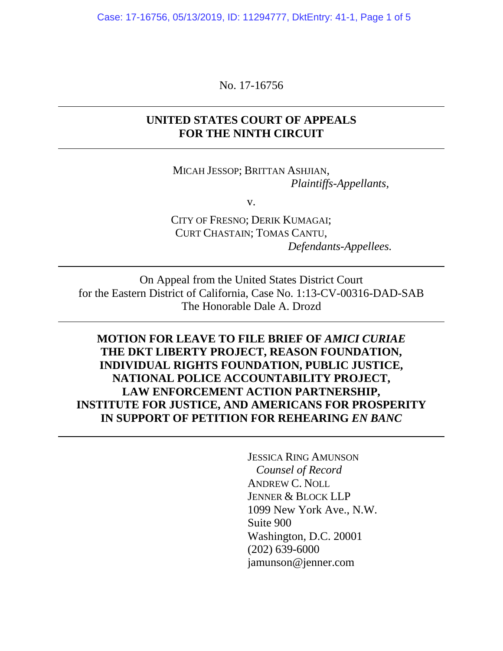Case: 17-16756, 05/13/2019, ID: 11294777, DktEntry: 41-1, Page 1 of 5

No. 17-16756

## **UNITED STATES COURT OF APPEALS FOR THE NINTH CIRCUIT**

MICAH JESSOP; BRITTAN ASHJIAN, *Plaintiffs-Appellants,*

v.

CITY OF FRESNO; DERIK KUMAGAI; CURT CHASTAIN; TOMAS CANTU, *Defendants-Appellees.*

On Appeal from the United States District Court for the Eastern District of California, Case No. 1:13-CV-00316-DAD-SAB The Honorable Dale A. Drozd

**MOTION FOR LEAVE TO FILE BRIEF OF** *AMICI CURIAE* **THE DKT LIBERTY PROJECT, REASON FOUNDATION, INDIVIDUAL RIGHTS FOUNDATION, PUBLIC JUSTICE, NATIONAL POLICE ACCOUNTABILITY PROJECT, LAW ENFORCEMENT ACTION PARTNERSHIP, INSTITUTE FOR JUSTICE, AND AMERICANS FOR PROSPERITY IN SUPPORT OF PETITION FOR REHEARING** *EN BANC*

> JESSICA RING AMUNSON  *Counsel of Record*  ANDREW C. NOLL JENNER & BLOCK LLP 1099 New York Ave., N.W. Suite 900 Washington, D.C. 20001 (202) 639-6000 jamunson@jenner.com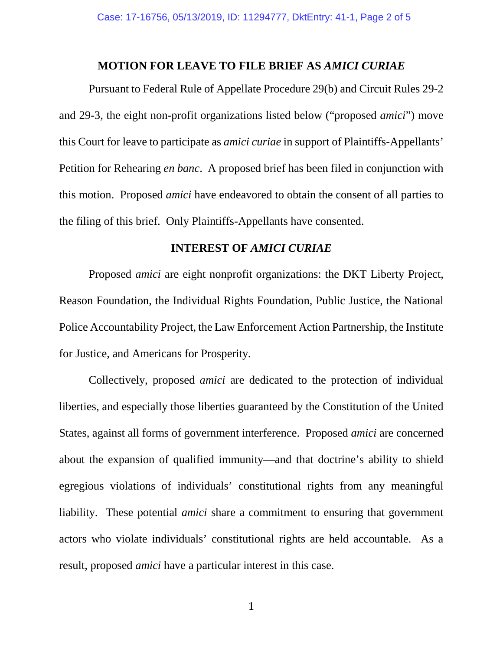## **MOTION FOR LEAVE TO FILE BRIEF AS** *AMICI CURIAE*

Pursuant to Federal Rule of Appellate Procedure 29(b) and Circuit Rules 29-2 and 29-3, the eight non-profit organizations listed below ("proposed *amici*") move this Court for leave to participate as *amici curiae* in support of Plaintiffs-Appellants' Petition for Rehearing *en banc*. A proposed brief has been filed in conjunction with this motion. Proposed *amici* have endeavored to obtain the consent of all parties to the filing of this brief. Only Plaintiffs-Appellants have consented.

# **INTEREST OF** *AMICI CURIAE*

Proposed *amici* are eight nonprofit organizations: the DKT Liberty Project, Reason Foundation, the Individual Rights Foundation, Public Justice, the National Police Accountability Project, the Law Enforcement Action Partnership, the Institute for Justice, and Americans for Prosperity.

Collectively, proposed *amici* are dedicated to the protection of individual liberties, and especially those liberties guaranteed by the Constitution of the United States, against all forms of government interference. Proposed *amici* are concerned about the expansion of qualified immunity—and that doctrine's ability to shield egregious violations of individuals' constitutional rights from any meaningful liability. These potential *amici* share a commitment to ensuring that government actors who violate individuals' constitutional rights are held accountable. As a result, proposed *amici* have a particular interest in this case.

1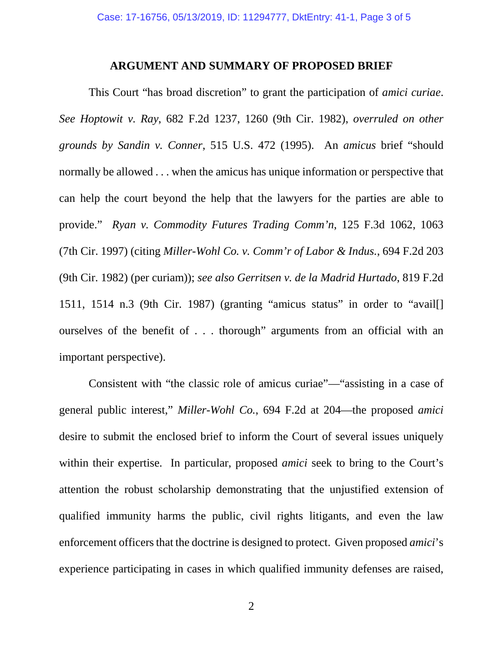## **ARGUMENT AND SUMMARY OF PROPOSED BRIEF**

This Court "has broad discretion" to grant the participation of *amici curiae*. *See Hoptowit v. Ray*, 682 F.2d 1237, 1260 (9th Cir. 1982), *overruled on other grounds by Sandin v. Conner*, 515 U.S. 472 (1995). An *amicus* brief "should normally be allowed . . . when the amicus has unique information or perspective that can help the court beyond the help that the lawyers for the parties are able to provide." *Ryan v. Commodity Futures Trading Comm'n*, 125 F.3d 1062, 1063 (7th Cir. 1997) (citing *Miller-Wohl Co. v. Comm'r of Labor & Indus.*, 694 F.2d 203 (9th Cir. 1982) (per curiam)); *see also Gerritsen v. de la Madrid Hurtado*, 819 F.2d 1511, 1514 n.3 (9th Cir. 1987) (granting "amicus status" in order to "avail[] ourselves of the benefit of . . . thorough" arguments from an official with an important perspective).

Consistent with "the classic role of amicus curiae"—"assisting in a case of general public interest," *Miller-Wohl Co.*, 694 F.2d at 204—the proposed *amici*  desire to submit the enclosed brief to inform the Court of several issues uniquely within their expertise. In particular, proposed *amici* seek to bring to the Court's attention the robust scholarship demonstrating that the unjustified extension of qualified immunity harms the public, civil rights litigants, and even the law enforcement officers that the doctrine is designed to protect. Given proposed *amici*'s experience participating in cases in which qualified immunity defenses are raised,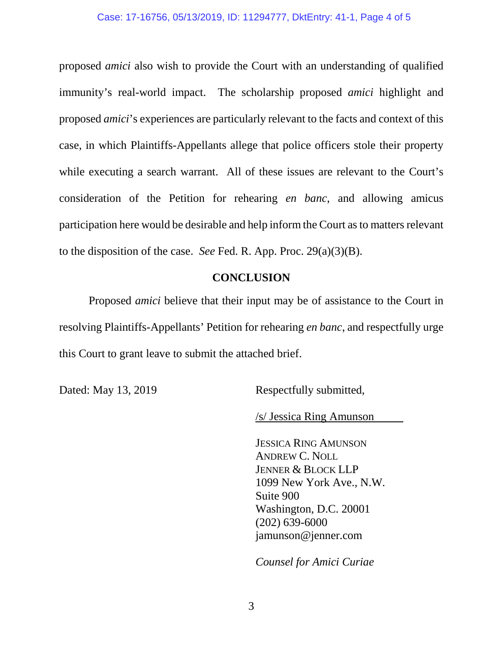### Case: 17-16756, 05/13/2019, ID: 11294777, DktEntry: 41-1, Page 4 of 5

proposed *amici* also wish to provide the Court with an understanding of qualified immunity's real-world impact. The scholarship proposed *amici* highlight and proposed *amici*'s experiences are particularly relevant to the facts and context of this case, in which Plaintiffs-Appellants allege that police officers stole their property while executing a search warrant. All of these issues are relevant to the Court's consideration of the Petition for rehearing *en banc*, and allowing amicus participation here would be desirable and help inform the Court as to matters relevant to the disposition of the case. *See* Fed. R. App. Proc. 29(a)(3)(B).

## **CONCLUSION**

Proposed *amici* believe that their input may be of assistance to the Court in resolving Plaintiffs-Appellants' Petition for rehearing *en banc*, and respectfully urge this Court to grant leave to submit the attached brief.

Dated: May 13, 2019 Respectfully submitted,

/s/ Jessica Ring Amunson

JESSICA RING AMUNSON ANDREW C. NOLL JENNER & BLOCK LLP 1099 New York Ave., N.W. Suite 900 Washington, D.C. 20001 (202) 639-6000 jamunson@jenner.com

*Counsel for Amici Curiae*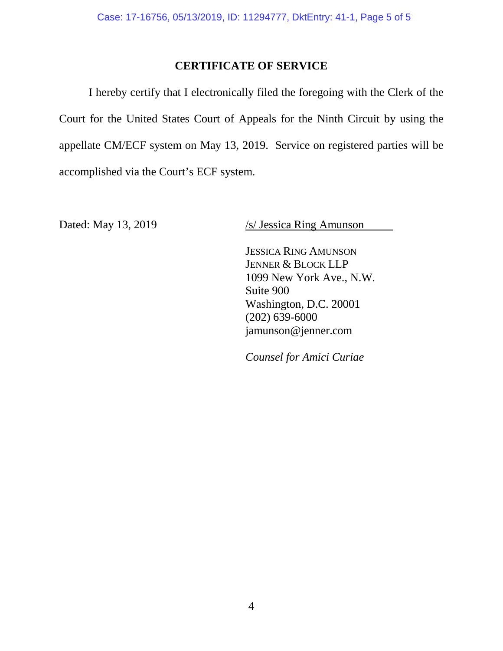# **CERTIFICATE OF SERVICE**

I hereby certify that I electronically filed the foregoing with the Clerk of the Court for the United States Court of Appeals for the Ninth Circuit by using the appellate CM/ECF system on May 13, 2019. Service on registered parties will be accomplished via the Court's ECF system.

Dated: May 13, 2019 /s/ Jessica Ring Amunson

JESSICA RING AMUNSON JENNER & BLOCK LLP 1099 New York Ave., N.W. Suite 900 Washington, D.C. 20001 (202) 639-6000 jamunson@jenner.com

*Counsel for Amici Curiae*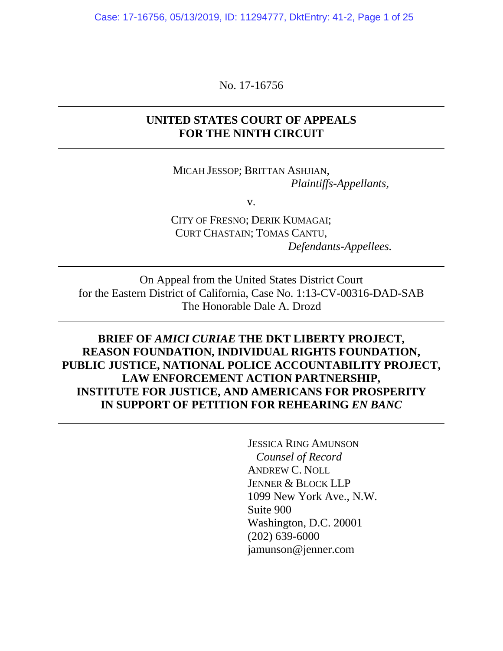Case: 17-16756, 05/13/2019, ID: 11294777, DktEntry: 41-2, Page 1 of 25

No. 17-16756

# **UNITED STATES COURT OF APPEALS FOR THE NINTH CIRCUIT**

MICAH JESSOP; BRITTAN ASHJIAN, *Plaintiffs-Appellants,*

v.

CITY OF FRESNO; DERIK KUMAGAI; CURT CHASTAIN; TOMAS CANTU, *Defendants-Appellees.*

On Appeal from the United States District Court for the Eastern District of California, Case No. 1:13-CV-00316-DAD-SAB The Honorable Dale A. Drozd

**BRIEF OF** *AMICI CURIAE* **THE DKT LIBERTY PROJECT, REASON FOUNDATION, INDIVIDUAL RIGHTS FOUNDATION, PUBLIC JUSTICE, NATIONAL POLICE ACCOUNTABILITY PROJECT, LAW ENFORCEMENT ACTION PARTNERSHIP, INSTITUTE FOR JUSTICE, AND AMERICANS FOR PROSPERITY IN SUPPORT OF PETITION FOR REHEARING** *EN BANC*

> JESSICA RING AMUNSON  *Counsel of Record*  ANDREW C. NOLL JENNER & BLOCK LLP 1099 New York Ave., N.W. Suite 900 Washington, D.C. 20001 (202) 639-6000 jamunson@jenner.com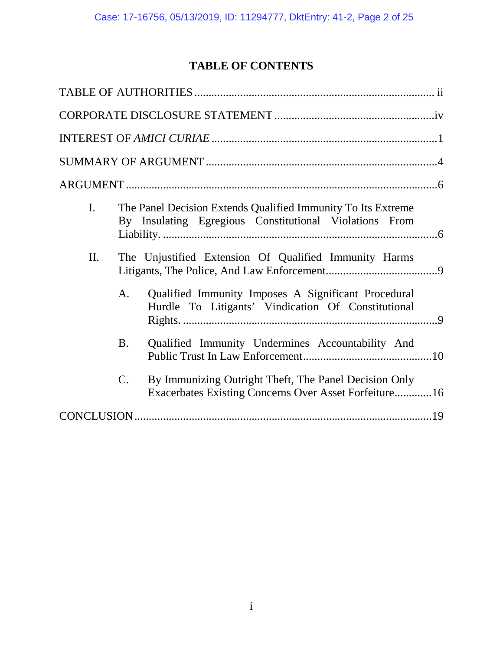# **TABLE OF CONTENTS**

| $\mathbf{I}$ . | The Panel Decision Extends Qualified Immunity To Its Extreme<br>By Insulating Egregious Constitutional Violations From            |
|----------------|-----------------------------------------------------------------------------------------------------------------------------------|
| II.            | The Unjustified Extension Of Qualified Immunity Harms                                                                             |
|                | Qualified Immunity Imposes A Significant Procedural<br>A.<br>Hurdle To Litigants' Vindication Of Constitutional                   |
|                | Qualified Immunity Undermines Accountability And<br><b>B.</b>                                                                     |
|                | By Immunizing Outright Theft, The Panel Decision Only<br>$\mathcal{C}$ .<br>Exacerbates Existing Concerns Over Asset Forfeiture16 |
|                |                                                                                                                                   |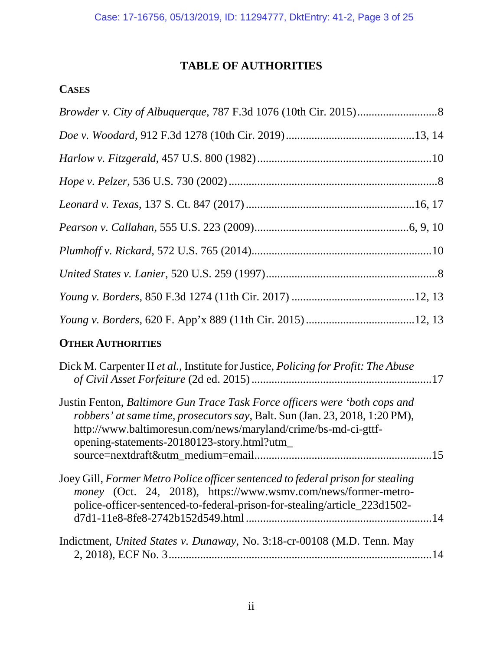# **TABLE OF AUTHORITIES**

# **CASES**

# **OTHER AUTHORITIES**

| Dick M. Carpenter II et al., Institute for Justice, <i>Policing for Profit: The Abuse</i>                                                                                                                                                                                 |    |
|---------------------------------------------------------------------------------------------------------------------------------------------------------------------------------------------------------------------------------------------------------------------------|----|
| Justin Fenton, Baltimore Gun Trace Task Force officers were 'both cops and<br>robbers' at same time, prosecutors say, Balt. Sun (Jan. 23, 2018, 1:20 PM),<br>http://www.baltimoresun.com/news/maryland/crime/bs-md-ci-gttf-<br>opening-statements-20180123-story.html?utm |    |
|                                                                                                                                                                                                                                                                           |    |
| Joey Gill, Former Metro Police officer sentenced to federal prison for stealing<br>money (Oct. 24, 2018), https://www.wsmv.com/news/former-metro-<br>police-officer-sentenced-to-federal-prison-for-stealing/article_223d1502-                                            |    |
| Indictment, United States v. Dunaway, No. 3:18-cr-00108 (M.D. Tenn. May                                                                                                                                                                                                   | 14 |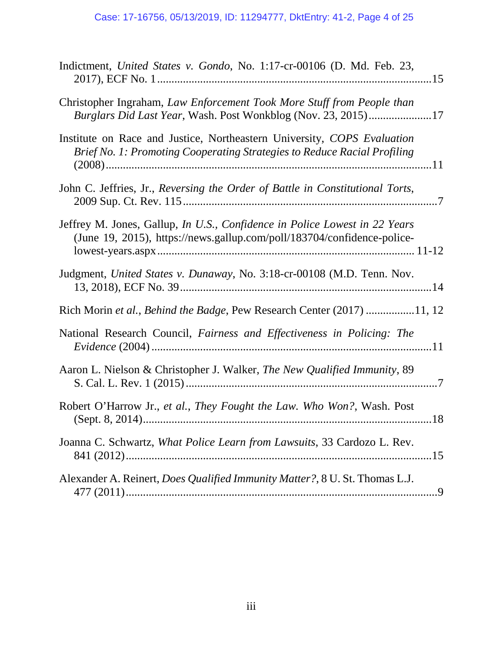| Indictment, United States v. Gondo, No. 1:17-cr-00106 (D. Md. Feb. 23,                                                                                       |
|--------------------------------------------------------------------------------------------------------------------------------------------------------------|
| Christopher Ingraham, Law Enforcement Took More Stuff from People than<br>Burglars Did Last Year, Wash. Post Wonkblog (Nov. 23, 2015)17                      |
| Institute on Race and Justice, Northeastern University, COPS Evaluation<br>Brief No. 1: Promoting Cooperating Strategies to Reduce Racial Profiling          |
| John C. Jeffries, Jr., Reversing the Order of Battle in Constitutional Torts,                                                                                |
| Jeffrey M. Jones, Gallup, <i>In U.S., Confidence in Police Lowest in 22 Years</i><br>(June 19, 2015), https://news.gallup.com/poll/183704/confidence-police- |
| Judgment, United States v. Dunaway, No. 3:18-cr-00108 (M.D. Tenn. Nov.                                                                                       |
| Rich Morin et al., Behind the Badge, Pew Research Center (2017) 11, 12                                                                                       |
| National Research Council, Fairness and Effectiveness in Policing: The                                                                                       |
| Aaron L. Nielson & Christopher J. Walker, The New Qualified Immunity, 89                                                                                     |
| Robert O'Harrow Jr., et al., They Fought the Law. Who Won?, Wash. Post                                                                                       |
| Joanna C. Schwartz, What Police Learn from Lawsuits, 33 Cardozo L. Rev.                                                                                      |
| Alexander A. Reinert, <i>Does Qualified Immunity Matter?</i> , 8 U. St. Thomas L.J.                                                                          |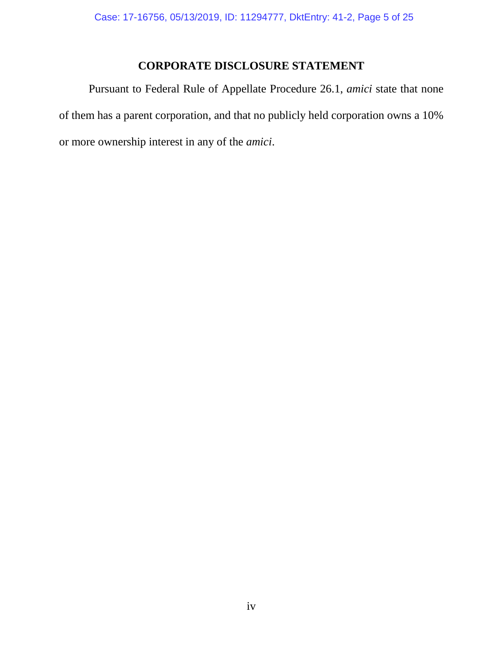# **CORPORATE DISCLOSURE STATEMENT**

Pursuant to Federal Rule of Appellate Procedure 26.1, *amici* state that none of them has a parent corporation, and that no publicly held corporation owns a 10% or more ownership interest in any of the *amici*.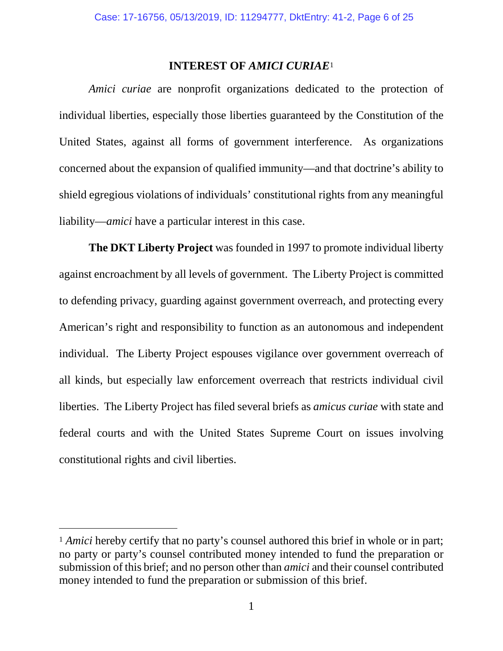## **INTEREST OF** *AMICI CURIAE*[1](#page-10-0)

*Amici curiae* are nonprofit organizations dedicated to the protection of individual liberties, especially those liberties guaranteed by the Constitution of the United States, against all forms of government interference. As organizations concerned about the expansion of qualified immunity—and that doctrine's ability to shield egregious violations of individuals' constitutional rights from any meaningful liability—*amici* have a particular interest in this case.

**The DKT Liberty Project** was founded in 1997 to promote individual liberty against encroachment by all levels of government. The Liberty Project is committed to defending privacy, guarding against government overreach, and protecting every American's right and responsibility to function as an autonomous and independent individual. The Liberty Project espouses vigilance over government overreach of all kinds, but especially law enforcement overreach that restricts individual civil liberties. The Liberty Project has filed several briefs as *amicus curiae* with state and federal courts and with the United States Supreme Court on issues involving constitutional rights and civil liberties.

<span id="page-10-0"></span><sup>&</sup>lt;sup>1</sup> *Amici* hereby certify that no party's counsel authored this brief in whole or in part; no party or party's counsel contributed money intended to fund the preparation or submission of this brief; and no person other than *amici* and their counsel contributed money intended to fund the preparation or submission of this brief.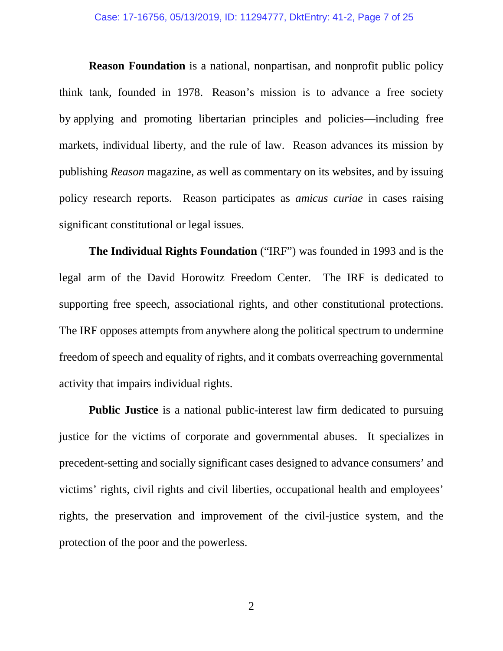**Reason Foundation** is a national, nonpartisan, and nonprofit public policy think tank, founded in 1978. Reason's mission is to advance a free society by applying and promoting libertarian principles and policies—including free markets, individual liberty, and the rule of law. Reason advances its mission by publishing *Reason* magazine, as well as commentary on its websites, and by issuing policy research reports. Reason participates as *amicus curiae* in cases raising significant constitutional or legal issues.

**The Individual Rights Foundation** ("IRF") was founded in 1993 and is the legal arm of the David Horowitz Freedom Center. The IRF is dedicated to supporting free speech, associational rights, and other constitutional protections. The IRF opposes attempts from anywhere along the political spectrum to undermine freedom of speech and equality of rights, and it combats overreaching governmental activity that impairs individual rights.

**Public Justice** is a national public-interest law firm dedicated to pursuing justice for the victims of corporate and governmental abuses. It specializes in precedent-setting and socially significant cases designed to advance consumers' and victims' rights, civil rights and civil liberties, occupational health and employees' rights, the preservation and improvement of the civil-justice system, and the protection of the poor and the powerless.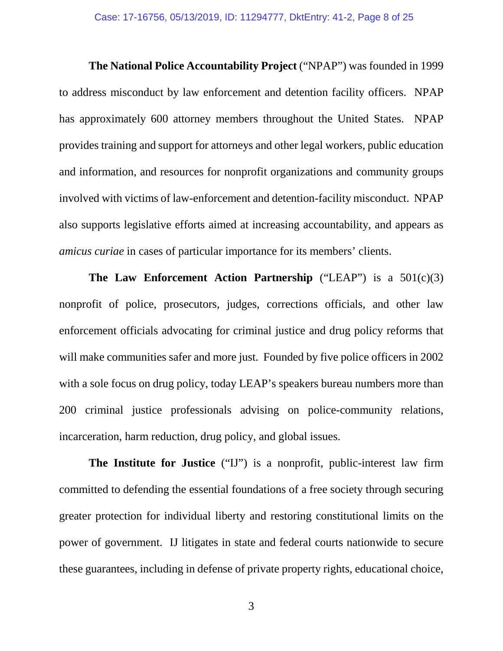**The National Police Accountability Project** ("NPAP") was founded in 1999 to address misconduct by law enforcement and detention facility officers. NPAP has approximately 600 attorney members throughout the United States. NPAP provides training and support for attorneys and other legal workers, public education and information, and resources for nonprofit organizations and community groups involved with victims of law-enforcement and detention-facility misconduct. NPAP also supports legislative efforts aimed at increasing accountability, and appears as *amicus curiae* in cases of particular importance for its members' clients.

**The Law Enforcement Action Partnership** ("LEAP") is a 501(c)(3) nonprofit of police, prosecutors, judges, corrections officials, and other law enforcement officials advocating for criminal justice and drug policy reforms that will make communities safer and more just. Founded by five police officers in 2002 with a sole focus on drug policy, today LEAP's speakers bureau numbers more than 200 criminal justice professionals advising on police-community relations, incarceration, harm reduction, drug policy, and global issues.

**The Institute for Justice** ("IJ") is a nonprofit, public-interest law firm committed to defending the essential foundations of a free society through securing greater protection for individual liberty and restoring constitutional limits on the power of government. IJ litigates in state and federal courts nationwide to secure these guarantees, including in defense of private property rights, educational choice,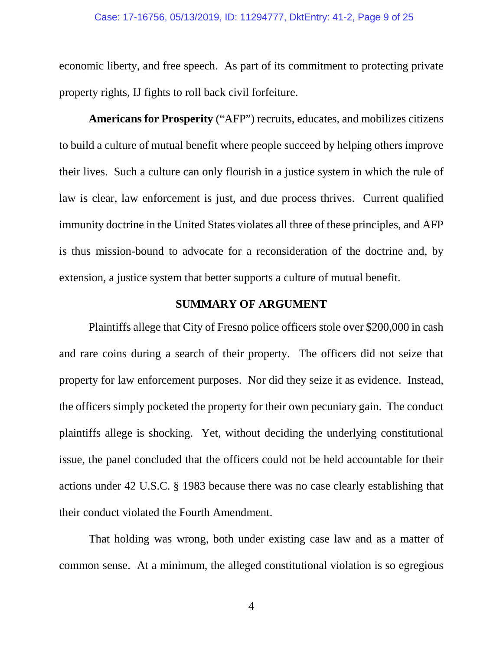#### Case: 17-16756, 05/13/2019, ID: 11294777, DktEntry: 41-2, Page 9 of 25

economic liberty, and free speech. As part of its commitment to protecting private property rights, IJ fights to roll back civil forfeiture.

**Americans for Prosperity** ("AFP") recruits, educates, and mobilizes citizens to build a culture of mutual benefit where people succeed by helping others improve their lives. Such a culture can only flourish in a justice system in which the rule of law is clear, law enforcement is just, and due process thrives. Current qualified immunity doctrine in the United States violates all three of these principles, and AFP is thus mission-bound to advocate for a reconsideration of the doctrine and, by extension, a justice system that better supports a culture of mutual benefit.

## **SUMMARY OF ARGUMENT**

Plaintiffs allege that City of Fresno police officers stole over \$200,000 in cash and rare coins during a search of their property. The officers did not seize that property for law enforcement purposes. Nor did they seize it as evidence. Instead, the officers simply pocketed the property for their own pecuniary gain. The conduct plaintiffs allege is shocking. Yet, without deciding the underlying constitutional issue, the panel concluded that the officers could not be held accountable for their actions under 42 U.S.C. § 1983 because there was no case clearly establishing that their conduct violated the Fourth Amendment.

That holding was wrong, both under existing case law and as a matter of common sense. At a minimum, the alleged constitutional violation is so egregious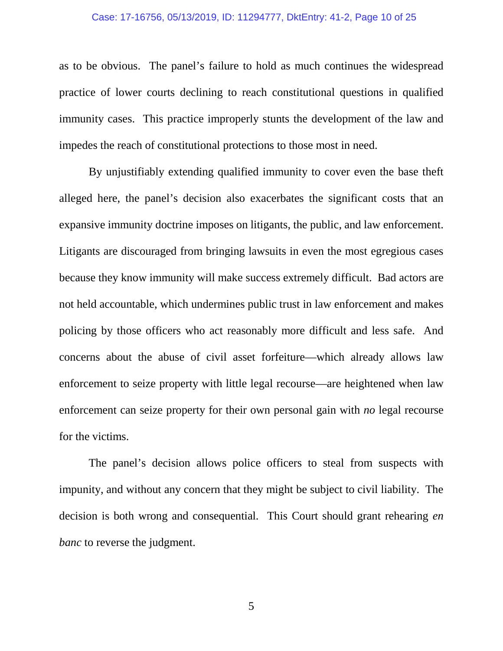### Case: 17-16756, 05/13/2019, ID: 11294777, DktEntry: 41-2, Page 10 of 25

as to be obvious. The panel's failure to hold as much continues the widespread practice of lower courts declining to reach constitutional questions in qualified immunity cases. This practice improperly stunts the development of the law and impedes the reach of constitutional protections to those most in need.

By unjustifiably extending qualified immunity to cover even the base theft alleged here, the panel's decision also exacerbates the significant costs that an expansive immunity doctrine imposes on litigants, the public, and law enforcement. Litigants are discouraged from bringing lawsuits in even the most egregious cases because they know immunity will make success extremely difficult. Bad actors are not held accountable, which undermines public trust in law enforcement and makes policing by those officers who act reasonably more difficult and less safe. And concerns about the abuse of civil asset forfeiture—which already allows law enforcement to seize property with little legal recourse—are heightened when law enforcement can seize property for their own personal gain with *no* legal recourse for the victims.

The panel's decision allows police officers to steal from suspects with impunity, and without any concern that they might be subject to civil liability. The decision is both wrong and consequential. This Court should grant rehearing *en banc* to reverse the judgment.

5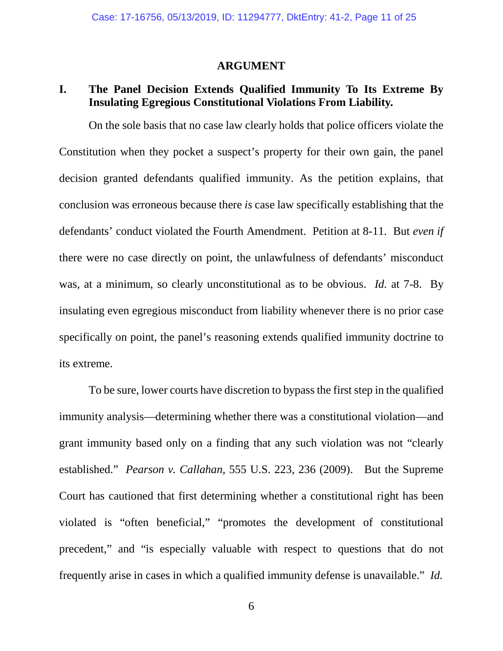### **ARGUMENT**

# **I. The Panel Decision Extends Qualified Immunity To Its Extreme By Insulating Egregious Constitutional Violations From Liability.**

On the sole basis that no case law clearly holds that police officers violate the Constitution when they pocket a suspect's property for their own gain, the panel decision granted defendants qualified immunity. As the petition explains, that conclusion was erroneous because there *is* case law specifically establishing that the defendants' conduct violated the Fourth Amendment. Petition at 8-11. But *even if* there were no case directly on point, the unlawfulness of defendants' misconduct was, at a minimum, so clearly unconstitutional as to be obvious. *Id.* at 7-8. By insulating even egregious misconduct from liability whenever there is no prior case specifically on point, the panel's reasoning extends qualified immunity doctrine to its extreme.

To be sure, lower courts have discretion to bypass the first step in the qualified immunity analysis—determining whether there was a constitutional violation—and grant immunity based only on a finding that any such violation was not "clearly established." *Pearson v. Callahan*, 555 U.S. 223, 236 (2009). But the Supreme Court has cautioned that first determining whether a constitutional right has been violated is "often beneficial," "promotes the development of constitutional precedent," and "is especially valuable with respect to questions that do not frequently arise in cases in which a qualified immunity defense is unavailable." *Id.*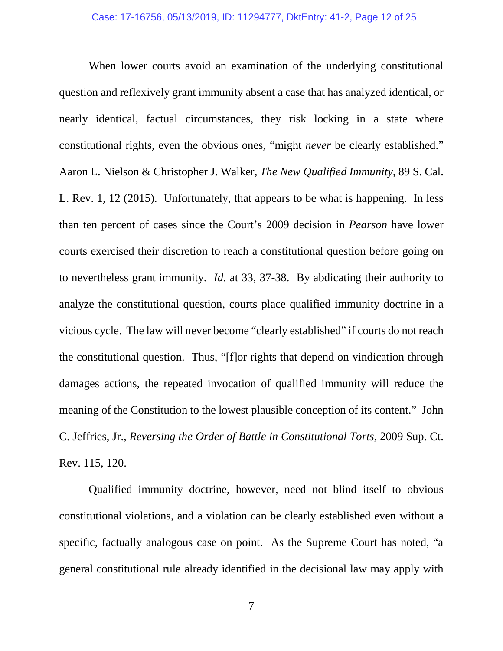When lower courts avoid an examination of the underlying constitutional question and reflexively grant immunity absent a case that has analyzed identical, or nearly identical, factual circumstances, they risk locking in a state where constitutional rights, even the obvious ones, "might *never* be clearly established." Aaron L. Nielson & Christopher J. Walker, *The New Qualified Immunity*, 89 S. Cal. L. Rev. 1, 12 (2015). Unfortunately, that appears to be what is happening. In less than ten percent of cases since the Court's 2009 decision in *Pearson* have lower courts exercised their discretion to reach a constitutional question before going on to nevertheless grant immunity. *Id.* at 33, 37-38. By abdicating their authority to analyze the constitutional question, courts place qualified immunity doctrine in a vicious cycle. The law will never become "clearly established" if courts do not reach the constitutional question. Thus, "[f]or rights that depend on vindication through damages actions, the repeated invocation of qualified immunity will reduce the meaning of the Constitution to the lowest plausible conception of its content." John C. Jeffries, Jr., *Reversing the Order of Battle in Constitutional Torts*, 2009 Sup. Ct. Rev. 115, 120.

Qualified immunity doctrine, however, need not blind itself to obvious constitutional violations, and a violation can be clearly established even without a specific, factually analogous case on point. As the Supreme Court has noted, "a general constitutional rule already identified in the decisional law may apply with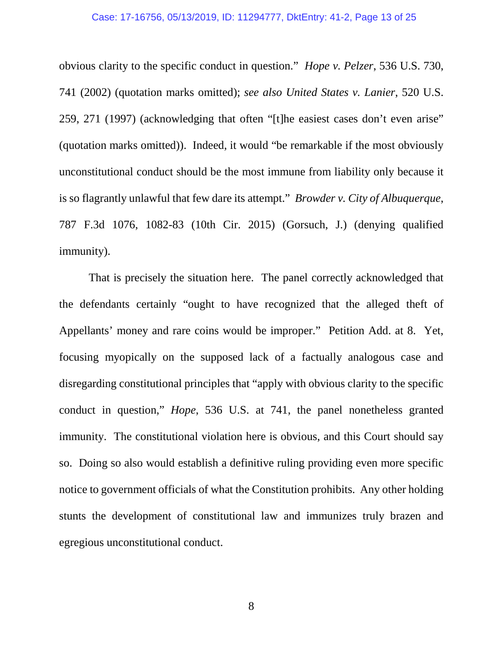### Case: 17-16756, 05/13/2019, ID: 11294777, DktEntry: 41-2, Page 13 of 25

obvious clarity to the specific conduct in question." *Hope v. Pelzer*, 536 U.S. 730, 741 (2002) (quotation marks omitted); *see also United States v. Lanier*, 520 U.S. 259, 271 (1997) (acknowledging that often "[t]he easiest cases don't even arise" (quotation marks omitted)). Indeed, it would "be remarkable if the most obviously unconstitutional conduct should be the most immune from liability only because it is so flagrantly unlawful that few dare its attempt." *Browder v. City of Albuquerque*, 787 F.3d 1076, 1082-83 (10th Cir. 2015) (Gorsuch, J.) (denying qualified immunity).

That is precisely the situation here. The panel correctly acknowledged that the defendants certainly "ought to have recognized that the alleged theft of Appellants' money and rare coins would be improper." Petition Add. at 8. Yet, focusing myopically on the supposed lack of a factually analogous case and disregarding constitutional principles that "apply with obvious clarity to the specific conduct in question," *Hope*, 536 U.S. at 741, the panel nonetheless granted immunity. The constitutional violation here is obvious, and this Court should say so. Doing so also would establish a definitive ruling providing even more specific notice to government officials of what the Constitution prohibits. Any other holding stunts the development of constitutional law and immunizes truly brazen and egregious unconstitutional conduct.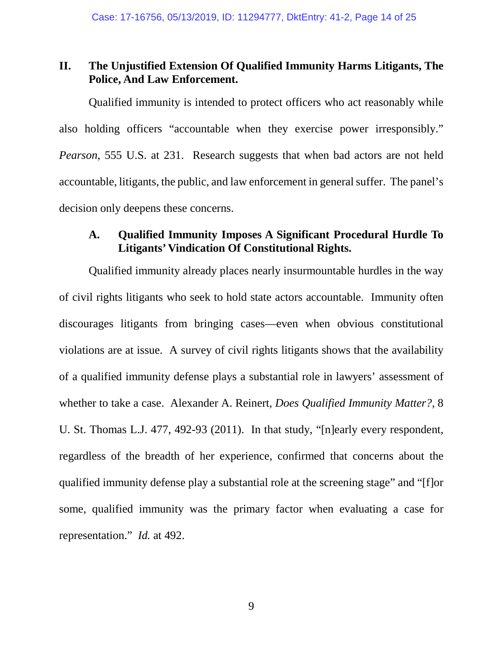# **II. The Unjustified Extension Of Qualified Immunity Harms Litigants, The Police, And Law Enforcement.**

Qualified immunity is intended to protect officers who act reasonably while also holding officers "accountable when they exercise power irresponsibly." *Pearson*, 555 U.S. at 231. Research suggests that when bad actors are not held accountable, litigants, the public, and law enforcement in general suffer. The panel's decision only deepens these concerns.

## **A. Qualified Immunity Imposes A Significant Procedural Hurdle To Litigants' Vindication Of Constitutional Rights.**

Qualified immunity already places nearly insurmountable hurdles in the way of civil rights litigants who seek to hold state actors accountable. Immunity often discourages litigants from bringing cases—even when obvious constitutional violations are at issue. A survey of civil rights litigants shows that the availability of a qualified immunity defense plays a substantial role in lawyers' assessment of whether to take a case. Alexander A. Reinert, *Does Qualified Immunity Matter?*, 8 U. St. Thomas L.J. 477, 492-93 (2011). In that study, "[n]early every respondent, regardless of the breadth of her experience, confirmed that concerns about the qualified immunity defense play a substantial role at the screening stage" and "[f]or some, qualified immunity was the primary factor when evaluating a case for representation." *Id.* at 492.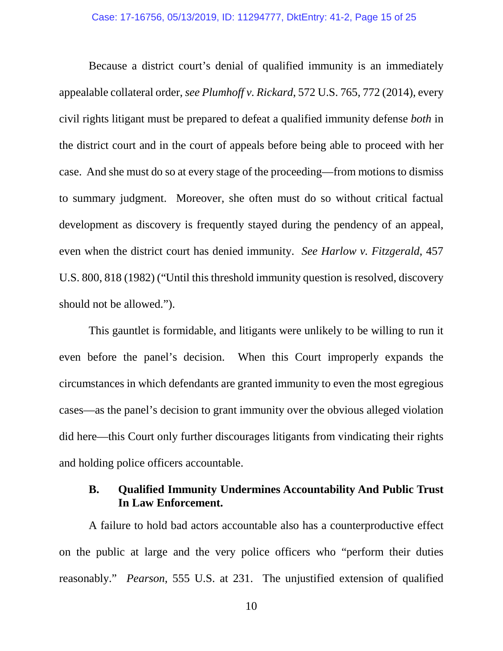Because a district court's denial of qualified immunity is an immediately appealable collateral order, *see Plumhoff v. Rickard*, 572 U.S. 765, 772 (2014), every civil rights litigant must be prepared to defeat a qualified immunity defense *both* in the district court and in the court of appeals before being able to proceed with her case. And she must do so at every stage of the proceeding—from motions to dismiss to summary judgment. Moreover, she often must do so without critical factual development as discovery is frequently stayed during the pendency of an appeal, even when the district court has denied immunity. *See Harlow v. Fitzgerald*, 457 U.S. 800, 818 (1982) ("Until this threshold immunity question is resolved, discovery should not be allowed.").

This gauntlet is formidable, and litigants were unlikely to be willing to run it even before the panel's decision. When this Court improperly expands the circumstances in which defendants are granted immunity to even the most egregious cases—as the panel's decision to grant immunity over the obvious alleged violation did here—this Court only further discourages litigants from vindicating their rights and holding police officers accountable.

# **B. Qualified Immunity Undermines Accountability And Public Trust In Law Enforcement.**

A failure to hold bad actors accountable also has a counterproductive effect on the public at large and the very police officers who "perform their duties reasonably." *Pearson*, 555 U.S. at 231. The unjustified extension of qualified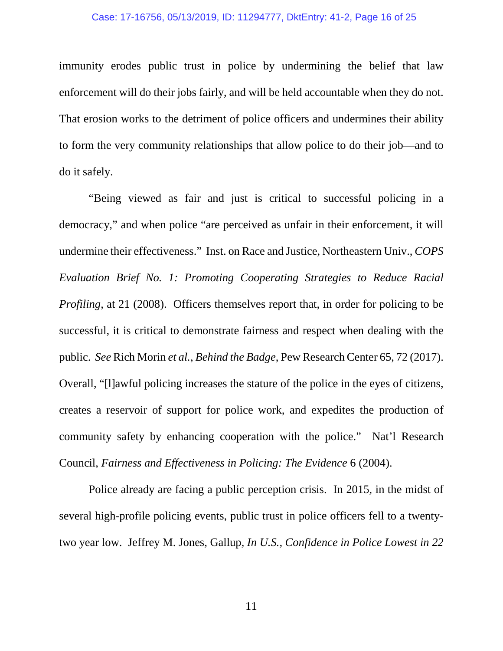### Case: 17-16756, 05/13/2019, ID: 11294777, DktEntry: 41-2, Page 16 of 25

immunity erodes public trust in police by undermining the belief that law enforcement will do their jobs fairly, and will be held accountable when they do not. That erosion works to the detriment of police officers and undermines their ability to form the very community relationships that allow police to do their job—and to do it safely.

"Being viewed as fair and just is critical to successful policing in a democracy," and when police "are perceived as unfair in their enforcement, it will undermine their effectiveness." Inst. on Race and Justice, Northeastern Univ., *COPS Evaluation Brief No. 1: Promoting Cooperating Strategies to Reduce Racial Profiling*, at 21 (2008). Officers themselves report that, in order for policing to be successful, it is critical to demonstrate fairness and respect when dealing with the public. *See* Rich Morin *et al.*, *Behind the Badge*, Pew Research Center 65, 72 (2017). Overall, "[l]awful policing increases the stature of the police in the eyes of citizens, creates a reservoir of support for police work, and expedites the production of community safety by enhancing cooperation with the police." Nat'l Research Council, *Fairness and Effectiveness in Policing: The Evidence* 6 (2004).

Police already are facing a public perception crisis. In 2015, in the midst of several high-profile policing events, public trust in police officers fell to a twentytwo year low. Jeffrey M. Jones, Gallup, *In U.S., Confidence in Police Lowest in 22* 

11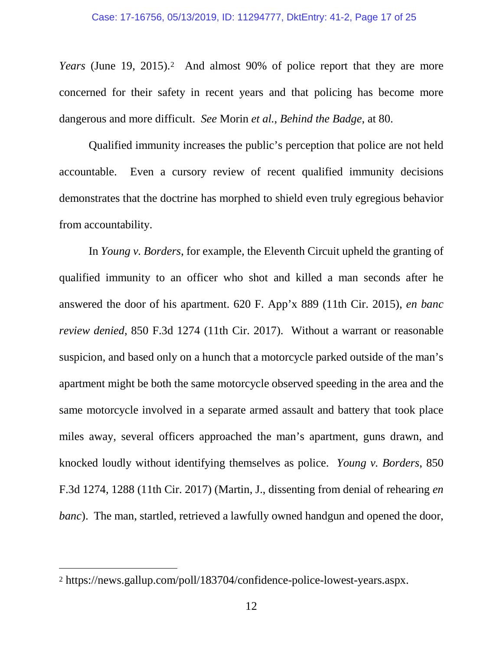*Years* (June 19, [2](#page-21-0)015).<sup>2</sup> And almost 90% of police report that they are more concerned for their safety in recent years and that policing has become more dangerous and more difficult. *See* Morin *et al.*, *Behind the Badge*, at 80.

Qualified immunity increases the public's perception that police are not held accountable. Even a cursory review of recent qualified immunity decisions demonstrates that the doctrine has morphed to shield even truly egregious behavior from accountability.

In *Young v. Borders*, for example, the Eleventh Circuit upheld the granting of qualified immunity to an officer who shot and killed a man seconds after he answered the door of his apartment. 620 F. App'x 889 (11th Cir. 2015), *en banc review denied*, 850 F.3d 1274 (11th Cir. 2017). Without a warrant or reasonable suspicion, and based only on a hunch that a motorcycle parked outside of the man's apartment might be both the same motorcycle observed speeding in the area and the same motorcycle involved in a separate armed assault and battery that took place miles away, several officers approached the man's apartment, guns drawn, and knocked loudly without identifying themselves as police. *Young v. Borders*, 850 F.3d 1274, 1288 (11th Cir. 2017) (Martin, J., dissenting from denial of rehearing *en banc*). The man, startled, retrieved a lawfully owned handgun and opened the door,

<span id="page-21-0"></span> <sup>2</sup> https://news.gallup.com/poll/183704/confidence-police-lowest-years.aspx.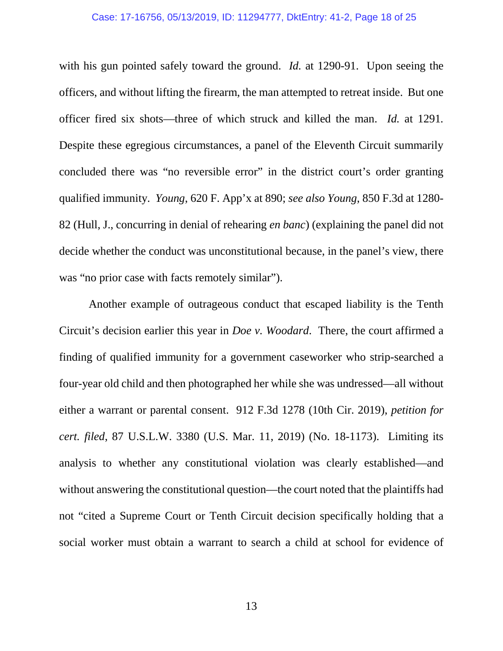### Case: 17-16756, 05/13/2019, ID: 11294777, DktEntry: 41-2, Page 18 of 25

with his gun pointed safely toward the ground. *Id.* at 1290-91. Upon seeing the officers, and without lifting the firearm, the man attempted to retreat inside. But one officer fired six shots—three of which struck and killed the man. *Id.* at 1291*.* Despite these egregious circumstances, a panel of the Eleventh Circuit summarily concluded there was "no reversible error" in the district court's order granting qualified immunity. *Young*, 620 F. App'x at 890; *see also Young*, 850 F.3d at 1280- 82 (Hull, J., concurring in denial of rehearing *en banc*) (explaining the panel did not decide whether the conduct was unconstitutional because, in the panel's view, there was "no prior case with facts remotely similar").

Another example of outrageous conduct that escaped liability is the Tenth Circuit's decision earlier this year in *Doe v. Woodard*. There, the court affirmed a finding of qualified immunity for a government caseworker who strip-searched a four-year old child and then photographed her while she was undressed—all without either a warrant or parental consent. 912 F.3d 1278 (10th Cir. 2019), *petition for cert. filed*, 87 U.S.L.W. 3380 (U.S. Mar. 11, 2019) (No. 18-1173). Limiting its analysis to whether any constitutional violation was clearly established—and without answering the constitutional question—the court noted that the plaintiffs had not "cited a Supreme Court or Tenth Circuit decision specifically holding that a social worker must obtain a warrant to search a child at school for evidence of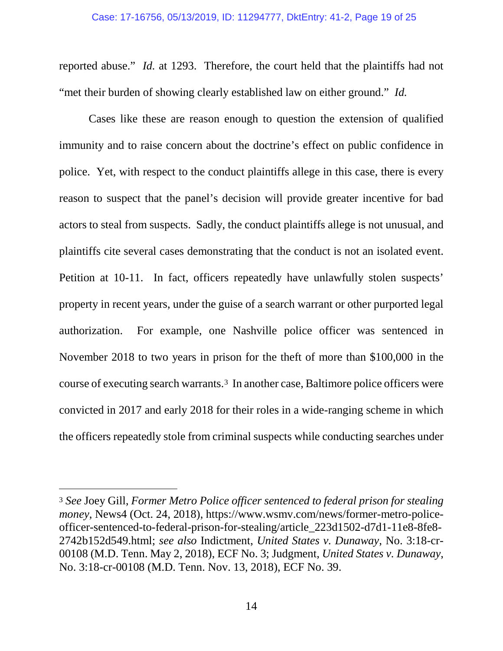reported abuse." *Id.* at 1293. Therefore, the court held that the plaintiffs had not "met their burden of showing clearly established law on either ground." *Id.*

Cases like these are reason enough to question the extension of qualified immunity and to raise concern about the doctrine's effect on public confidence in police. Yet, with respect to the conduct plaintiffs allege in this case, there is every reason to suspect that the panel's decision will provide greater incentive for bad actors to steal from suspects. Sadly, the conduct plaintiffs allege is not unusual, and plaintiffs cite several cases demonstrating that the conduct is not an isolated event. Petition at 10-11. In fact, officers repeatedly have unlawfully stolen suspects' property in recent years, under the guise of a search warrant or other purported legal authorization. For example, one Nashville police officer was sentenced in November 2018 to two years in prison for the theft of more than \$100,000 in the course of executing search warrants.[3](#page-23-0) In another case, Baltimore police officers were convicted in 2017 and early 2018 for their roles in a wide-ranging scheme in which the officers repeatedly stole from criminal suspects while conducting searches under

<span id="page-23-0"></span> <sup>3</sup> *See* Joey Gill, *Former Metro Police officer sentenced to federal prison for stealing money*, News4 (Oct. 24, 2018), https://www.wsmv.com/news/former-metro-policeofficer-sentenced-to-federal-prison-for-stealing/article\_223d1502-d7d1-11e8-8fe8- 2742b152d549.html; *see also* Indictment, *United States v. Dunaway*, No. 3:18-cr-00108 (M.D. Tenn. May 2, 2018), ECF No. 3; Judgment, *United States v. Dunaway*, No. 3:18-cr-00108 (M.D. Tenn. Nov. 13, 2018), ECF No. 39.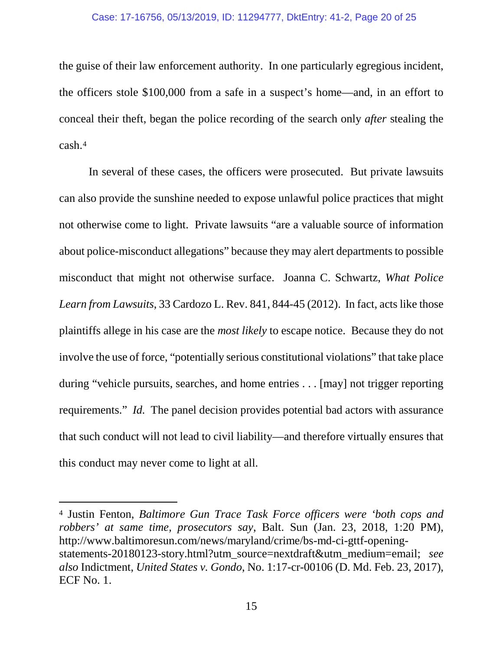### Case: 17-16756, 05/13/2019, ID: 11294777, DktEntry: 41-2, Page 20 of 25

the guise of their law enforcement authority. In one particularly egregious incident, the officers stole \$100,000 from a safe in a suspect's home—and, in an effort to conceal their theft, began the police recording of the search only *after* stealing the cash.[4](#page-24-0)

In several of these cases, the officers were prosecuted. But private lawsuits can also provide the sunshine needed to expose unlawful police practices that might not otherwise come to light. Private lawsuits "are a valuable source of information about police-misconduct allegations" because they may alert departments to possible misconduct that might not otherwise surface. Joanna C. Schwartz, *What Police Learn from Lawsuits*, 33 Cardozo L. Rev. 841, 844-45 (2012). In fact, acts like those plaintiffs allege in his case are the *most likely* to escape notice. Because they do not involve the use of force, "potentially serious constitutional violations" that take place during "vehicle pursuits, searches, and home entries . . . [may] not trigger reporting requirements." *Id.* The panel decision provides potential bad actors with assurance that such conduct will not lead to civil liability—and therefore virtually ensures that this conduct may never come to light at all.

<span id="page-24-0"></span> <sup>4</sup> Justin Fenton, *Baltimore Gun Trace Task Force officers were 'both cops and robbers' at same time, prosecutors say*, Balt. Sun (Jan. 23, 2018, 1:20 PM), http://www.baltimoresun.com/news/maryland/crime/bs-md-ci-gttf-openingstatements-20180123-story.html?utm\_source=nextdraft&utm\_medium=email; *see also* Indictment, *United States v. Gondo*, No. 1:17-cr-00106 (D. Md. Feb. 23, 2017), ECF No. 1.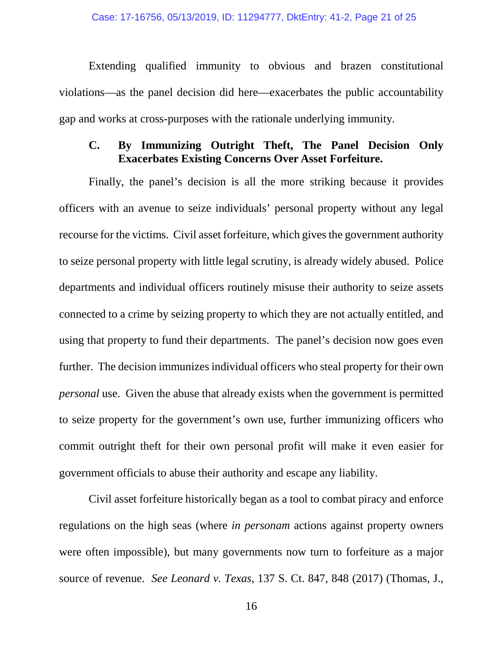Extending qualified immunity to obvious and brazen constitutional violations—as the panel decision did here—exacerbates the public accountability gap and works at cross-purposes with the rationale underlying immunity.

# **C. By Immunizing Outright Theft, The Panel Decision Only Exacerbates Existing Concerns Over Asset Forfeiture.**

Finally, the panel's decision is all the more striking because it provides officers with an avenue to seize individuals' personal property without any legal recourse for the victims. Civil asset forfeiture, which gives the government authority to seize personal property with little legal scrutiny, is already widely abused. Police departments and individual officers routinely misuse their authority to seize assets connected to a crime by seizing property to which they are not actually entitled, and using that property to fund their departments. The panel's decision now goes even further. The decision immunizes individual officers who steal property for their own *personal* use. Given the abuse that already exists when the government is permitted to seize property for the government's own use, further immunizing officers who commit outright theft for their own personal profit will make it even easier for government officials to abuse their authority and escape any liability.

Civil asset forfeiture historically began as a tool to combat piracy and enforce regulations on the high seas (where *in personam* actions against property owners were often impossible), but many governments now turn to forfeiture as a major source of revenue. *See Leonard v. Texas*, 137 S. Ct. 847, 848 (2017) (Thomas, J.,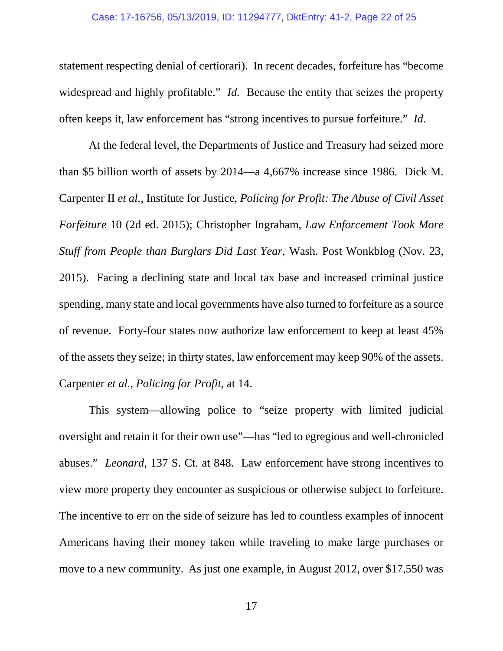#### Case: 17-16756, 05/13/2019, ID: 11294777, DktEntry: 41-2, Page 22 of 25

statement respecting denial of certiorari). In recent decades, forfeiture has "become widespread and highly profitable." *Id.* Because the entity that seizes the property often keeps it, law enforcement has "strong incentives to pursue forfeiture." *Id.*

At the federal level, the Departments of Justice and Treasury had seized more than \$5 billion worth of assets by 2014—a 4,667% increase since 1986. Dick M. Carpenter II *et al.*, Institute for Justice, *Policing for Profit: The Abuse of Civil Asset Forfeiture* 10 (2d ed. 2015); Christopher Ingraham, *Law Enforcement Took More Stuff from People than Burglars Did Last Year*, Wash. Post Wonkblog (Nov. 23, 2015). Facing a declining state and local tax base and increased criminal justice spending, many state and local governments have also turned to forfeiture as a source of revenue. Forty-four states now authorize law enforcement to keep at least 45% of the assets they seize; in thirty states, law enforcement may keep 90% of the assets. Carpenter *et al.*, *Policing for Profit*, at 14.

This system—allowing police to "seize property with limited judicial oversight and retain it for their own use"—has "led to egregious and well-chronicled abuses." *Leonard*, 137 S. Ct. at 848. Law enforcement have strong incentives to view more property they encounter as suspicious or otherwise subject to forfeiture. The incentive to err on the side of seizure has led to countless examples of innocent Americans having their money taken while traveling to make large purchases or move to a new community. As just one example, in August 2012, over \$17,550 was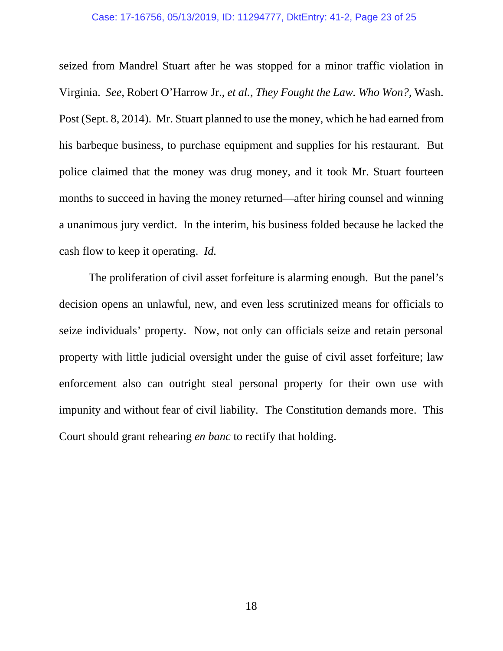#### Case: 17-16756, 05/13/2019, ID: 11294777, DktEntry: 41-2, Page 23 of 25

seized from Mandrel Stuart after he was stopped for a minor traffic violation in Virginia. *See,* Robert O'Harrow Jr., *et al.*, *They Fought the Law. Who Won?*, Wash. Post (Sept. 8, 2014). Mr. Stuart planned to use the money, which he had earned from his barbeque business, to purchase equipment and supplies for his restaurant. But police claimed that the money was drug money, and it took Mr. Stuart fourteen months to succeed in having the money returned—after hiring counsel and winning a unanimous jury verdict. In the interim, his business folded because he lacked the cash flow to keep it operating. *Id.*

The proliferation of civil asset forfeiture is alarming enough. But the panel's decision opens an unlawful, new, and even less scrutinized means for officials to seize individuals' property. Now, not only can officials seize and retain personal property with little judicial oversight under the guise of civil asset forfeiture; law enforcement also can outright steal personal property for their own use with impunity and without fear of civil liability. The Constitution demands more. This Court should grant rehearing *en banc* to rectify that holding.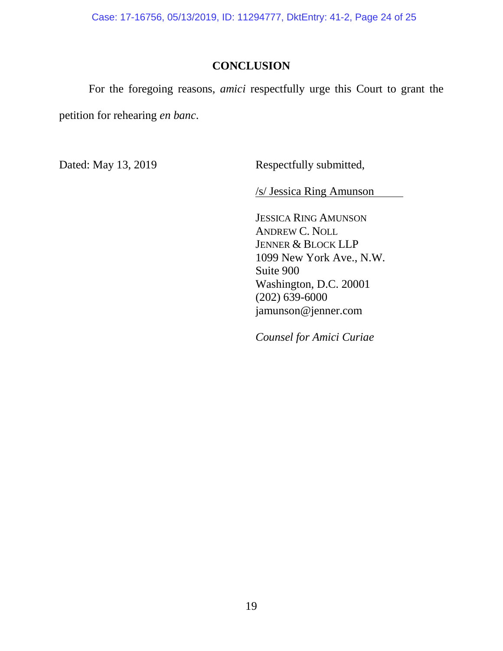Case: 17-16756, 05/13/2019, ID: 11294777, DktEntry: 41-2, Page 24 of 25

# **CONCLUSION**

For the foregoing reasons, *amici* respectfully urge this Court to grant the petition for rehearing *en banc*.

Dated: May 13, 2019 Respectfully submitted,

/s/ Jessica Ring Amunson

JESSICA RING AMUNSON ANDREW C. NOLL JENNER & BLOCK LLP 1099 New York Ave., N.W. Suite 900 Washington, D.C. 20001 (202) 639-6000 jamunson@jenner.com

*Counsel for Amici Curiae*